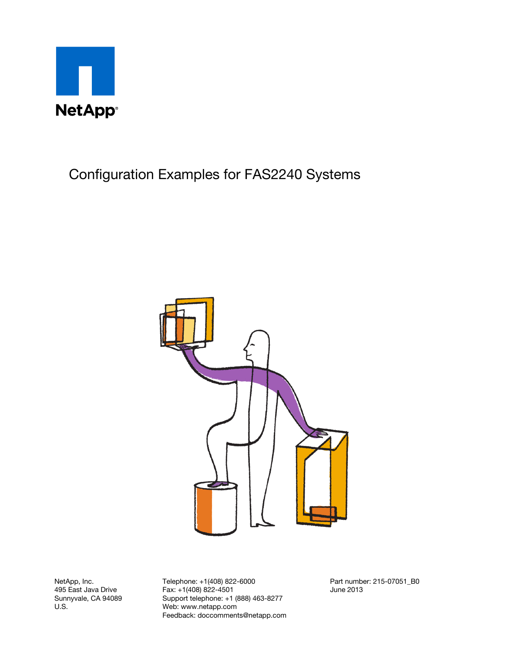



NetApp, Inc. 495 East Java Drive Sunnyvale, CA 94089 U.S.

Telephone: +1(408) 822-6000 Fax: +1(408) 822-4501 Support telephone: +1 (888) 463-8277 Web: www.netapp.com Feedback: doccomments@netapp.com

Part number: 215-07051\_B0 June 2013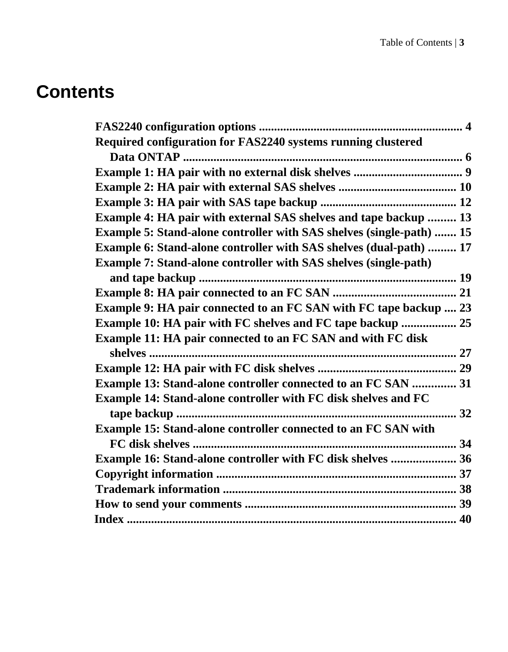### **Contents**

| Required configuration for FAS2240 systems running clustered                |  |
|-----------------------------------------------------------------------------|--|
|                                                                             |  |
|                                                                             |  |
|                                                                             |  |
|                                                                             |  |
| Example 4: HA pair with external SAS shelves and tape backup  13            |  |
| <b>Example 5: Stand-alone controller with SAS shelves (single-path)  15</b> |  |
| Example 6: Stand-alone controller with SAS shelves (dual-path)  17          |  |
| <b>Example 7: Stand-alone controller with SAS shelves (single-path)</b>     |  |
|                                                                             |  |
|                                                                             |  |
| <b>Example 9: HA pair connected to an FC SAN with FC tape backup  23</b>    |  |
| Example 10: HA pair with FC shelves and FC tape backup  25                  |  |
| Example 11: HA pair connected to an FC SAN and with FC disk                 |  |
|                                                                             |  |
|                                                                             |  |
| Example 13: Stand-alone controller connected to an FC SAN  31               |  |
| Example 14: Stand-alone controller with FC disk shelves and FC              |  |
|                                                                             |  |
| <b>Example 15: Stand-alone controller connected to an FC SAN with</b>       |  |
|                                                                             |  |
| <b>Example 16: Stand-alone controller with FC disk shelves  36</b>          |  |
|                                                                             |  |
|                                                                             |  |
|                                                                             |  |
|                                                                             |  |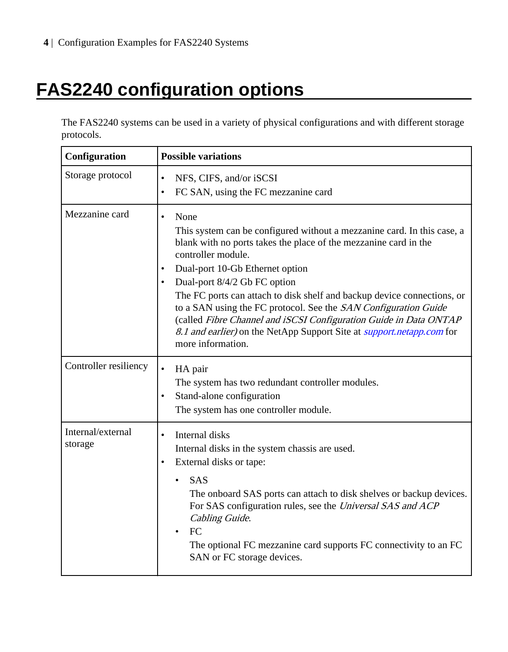## <span id="page-3-0"></span>**FAS2240 configuration options**

The FAS2240 systems can be used in a variety of physical configurations and with different storage protocols.

| Configuration                | <b>Possible variations</b>                                                                                                                                                                                                                                                                                                                                                                                                                                                                                                                                                        |
|------------------------------|-----------------------------------------------------------------------------------------------------------------------------------------------------------------------------------------------------------------------------------------------------------------------------------------------------------------------------------------------------------------------------------------------------------------------------------------------------------------------------------------------------------------------------------------------------------------------------------|
| Storage protocol             | NFS, CIFS, and/or iSCSI<br>$\bullet$<br>FC SAN, using the FC mezzanine card<br>$\bullet$                                                                                                                                                                                                                                                                                                                                                                                                                                                                                          |
| Mezzanine card               | None<br>$\bullet$<br>This system can be configured without a mezzanine card. In this case, a<br>blank with no ports takes the place of the mezzanine card in the<br>controller module.<br>Dual-port 10-Gb Ethernet option<br>Dual-port 8/4/2 Gb FC option<br>The FC ports can attach to disk shelf and backup device connections, or<br>to a SAN using the FC protocol. See the SAN Configuration Guide<br>(called Fibre Channel and iSCSI Configuration Guide in Data ONTAP<br>8.1 and earlier) on the NetApp Support Site at <i>support.netapp.com</i> for<br>more information. |
| Controller resiliency        | $\bullet$<br>HA pair<br>The system has two redundant controller modules.<br>Stand-alone configuration<br>$\bullet$<br>The system has one controller module.                                                                                                                                                                                                                                                                                                                                                                                                                       |
| Internal/external<br>storage | Internal disks<br>$\bullet$<br>Internal disks in the system chassis are used.<br>External disks or tape:<br><b>SAS</b><br>The onboard SAS ports can attach to disk shelves or backup devices.<br>For SAS configuration rules, see the Universal SAS and ACP<br>Cabling Guide.<br>FC<br>The optional FC mezzanine card supports FC connectivity to an FC<br>SAN or FC storage devices.                                                                                                                                                                                             |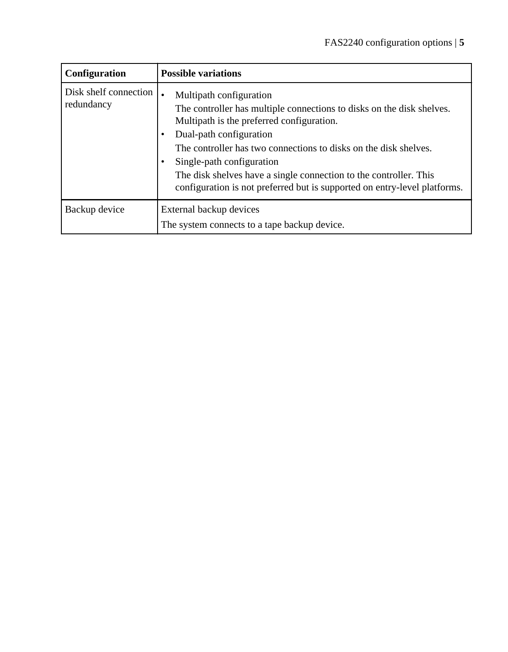| Configuration                       | <b>Possible variations</b>                                                                                                                                                                                                                                                                                                                                                                                                  |
|-------------------------------------|-----------------------------------------------------------------------------------------------------------------------------------------------------------------------------------------------------------------------------------------------------------------------------------------------------------------------------------------------------------------------------------------------------------------------------|
| Disk shelf connection<br>redundancy | Multipath configuration<br>The controller has multiple connections to disks on the disk shelves.<br>Multipath is the preferred configuration.<br>Dual-path configuration<br>The controller has two connections to disks on the disk shelves.<br>Single-path configuration<br>The disk shelves have a single connection to the controller. This<br>configuration is not preferred but is supported on entry-level platforms. |
| Backup device                       | External backup devices                                                                                                                                                                                                                                                                                                                                                                                                     |
|                                     | The system connects to a tape backup device.                                                                                                                                                                                                                                                                                                                                                                                |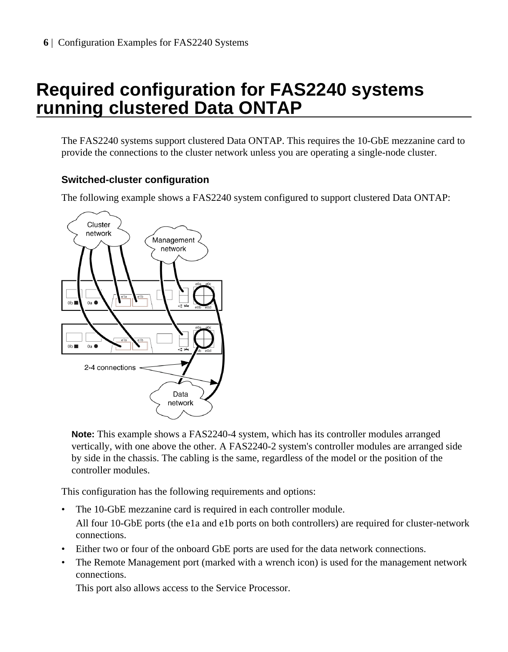### <span id="page-5-0"></span>**Required configuration for FAS2240 systems running clustered Data ONTAP**

The FAS2240 systems support clustered Data ONTAP. This requires the 10-GbE mezzanine card to provide the connections to the cluster network unless you are operating a single-node cluster.

#### **Switched-cluster configuration**

The following example shows a FAS2240 system configured to support clustered Data ONTAP:



**Note:** This example shows a FAS2240-4 system, which has its controller modules arranged vertically, with one above the other. A FAS2240-2 system's controller modules are arranged side by side in the chassis. The cabling is the same, regardless of the model or the position of the controller modules.

This configuration has the following requirements and options:

- The 10-GbE mezzanine card is required in each controller module. All four 10-GbE ports (the e1a and e1b ports on both controllers) are required for cluster-network connections.
- Either two or four of the onboard GbE ports are used for the data network connections.
- The Remote Management port (marked with a wrench icon) is used for the management network connections.

This port also allows access to the Service Processor.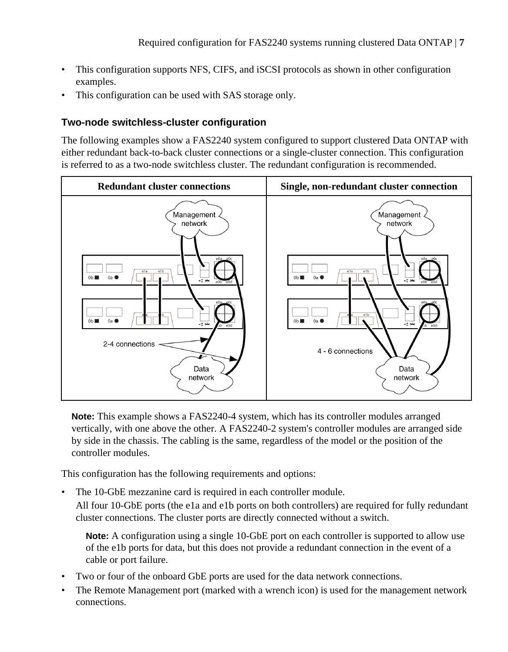- This configuration supports NFS, CIFS, and iSCSI protocols as shown in other configuration examples.
- This configuration can be used with SAS storage only.

#### **Two-node switchless-cluster configuration**

The following examples show a FAS2240 system configured to support clustered Data ONTAP with either redundant back-to-back cluster connections or a single-cluster connection. This configuration is referred to as a two-node switchless cluster. The redundant configuration is recommended.



**Note:** This example shows a FAS2240-4 system, which has its controller modules arranged vertically, with one above the other. A FAS2240-2 system's controller modules are arranged side by side in the chassis. The cabling is the same, regardless of the model or the position of the controller modules.

This configuration has the following requirements and options:

• The 10-GbE mezzanine card is required in each controller module.

All four 10-GbE ports (the e1a and e1b ports on both controllers) are required for fully redundant cluster connections. The cluster ports are directly connected without a switch.

**Note:** A configuration using a single 10-GbE port on each controller is supported to allow use of the e1b ports for data, but this does not provide a redundant connection in the event of a cable or port failure.

- Two or four of the onboard GbE ports are used for the data network connections.
- The Remote Management port (marked with a wrench icon) is used for the management network connections.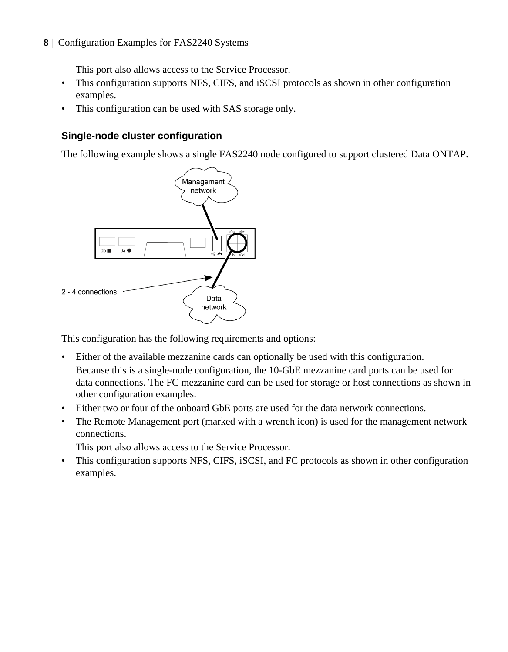This port also allows access to the Service Processor.

- This configuration supports NFS, CIFS, and iSCSI protocols as shown in other configuration examples.
- This configuration can be used with SAS storage only.

#### **Single-node cluster configuration**

The following example shows a single FAS2240 node configured to support clustered Data ONTAP.



This configuration has the following requirements and options:

- Either of the available mezzanine cards can optionally be used with this configuration. Because this is a single-node configuration, the 10-GbE mezzanine card ports can be used for data connections. The FC mezzanine card can be used for storage or host connections as shown in other configuration examples.
- Either two or four of the onboard GbE ports are used for the data network connections.
- The Remote Management port (marked with a wrench icon) is used for the management network connections.

This port also allows access to the Service Processor.

• This configuration supports NFS, CIFS, iSCSI, and FC protocols as shown in other configuration examples.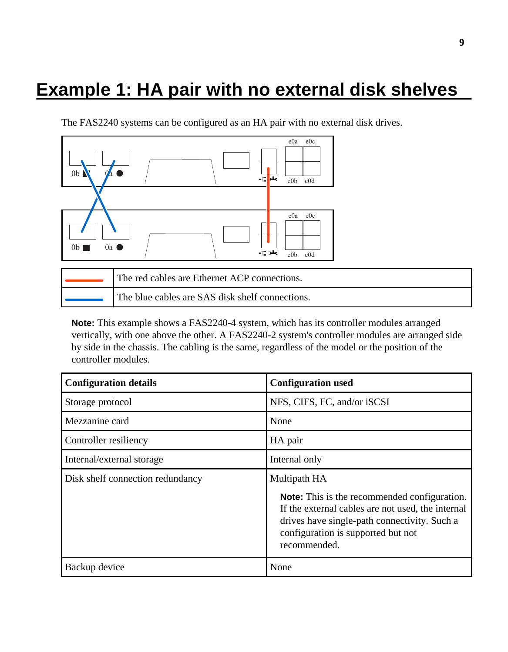### <span id="page-8-0"></span>**Example 1: HA pair with no external disk shelves**

The FAS2240 systems can be configured as an HA pair with no external disk drives.



| The red cables are Ethernet ACP connections.    |
|-------------------------------------------------|
| The blue cables are SAS disk shelf connections. |

| <b>Configuration details</b>     | <b>Configuration used</b>                                                                                                                                                                                      |
|----------------------------------|----------------------------------------------------------------------------------------------------------------------------------------------------------------------------------------------------------------|
| Storage protocol                 | NFS, CIFS, FC, and/or iSCSI                                                                                                                                                                                    |
| Mezzanine card                   | None                                                                                                                                                                                                           |
| Controller resiliency            | HA pair                                                                                                                                                                                                        |
| Internal/external storage        | Internal only                                                                                                                                                                                                  |
| Disk shelf connection redundancy | Multipath HA                                                                                                                                                                                                   |
|                                  | <b>Note:</b> This is the recommended configuration.<br>If the external cables are not used, the internal<br>drives have single-path connectivity. Such a<br>configuration is supported but not<br>recommended. |
| Backup device                    | None                                                                                                                                                                                                           |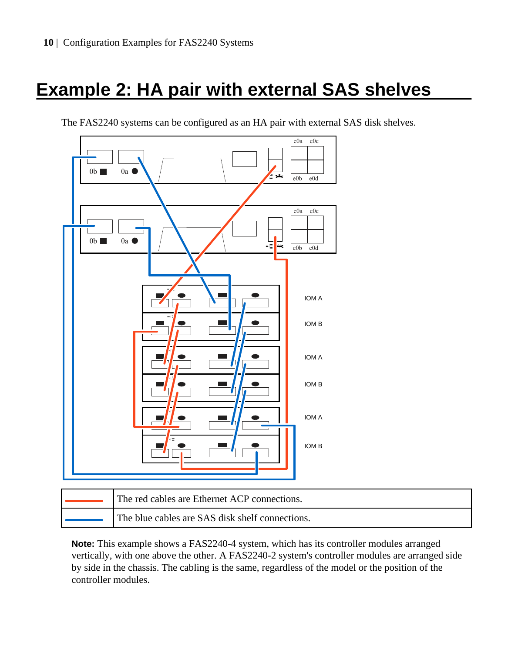## <span id="page-9-0"></span>**Example 2: HA pair with external SAS shelves**



The FAS2240 systems can be configured as an HA pair with external SAS disk shelves.

| The red cables are Ethernet ACP connections.    |
|-------------------------------------------------|
| The blue cables are SAS disk shelf connections. |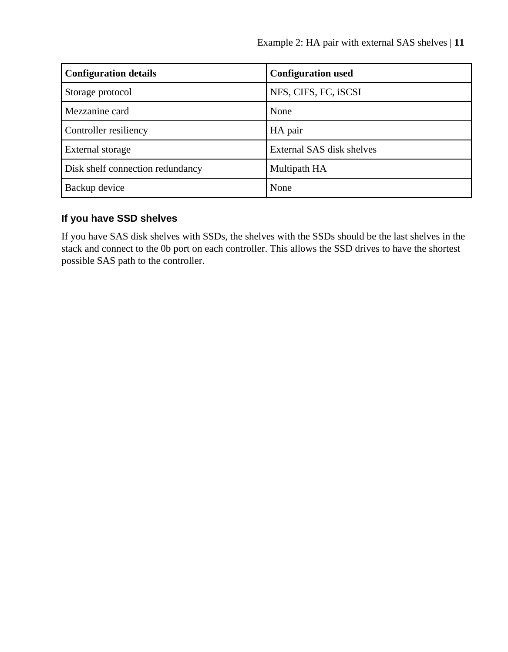| <b>Configuration details</b>     | <b>Configuration used</b> |
|----------------------------------|---------------------------|
| Storage protocol                 | NFS, CIFS, FC, iSCSI      |
| Mezzanine card                   | None                      |
| Controller resiliency            | HA pair                   |
| External storage                 | External SAS disk shelves |
| Disk shelf connection redundancy | Multipath HA              |
| Backup device                    | None                      |

#### **If you have SSD shelves**

If you have SAS disk shelves with SSDs, the shelves with the SSDs should be the last shelves in the stack and connect to the 0b port on each controller. This allows the SSD drives to have the shortest possible SAS path to the controller.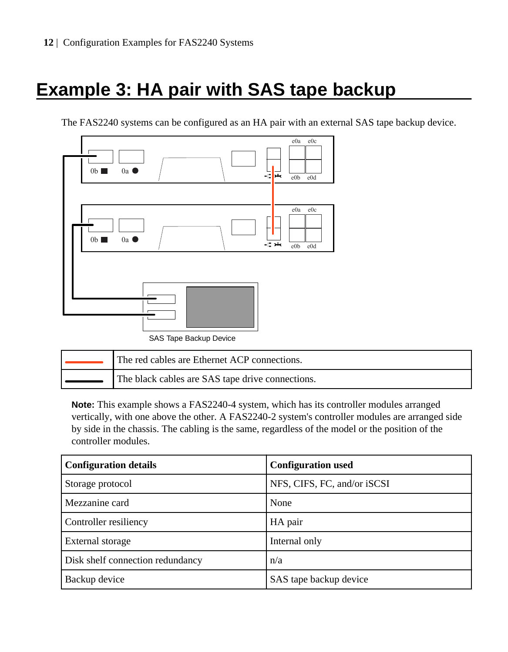## <span id="page-11-0"></span>**Example 3: HA pair with SAS tape backup**

The FAS2240 systems can be configured as an HA pair with an external SAS tape backup device.



| The red cables are Ethernet ACP connections.     |
|--------------------------------------------------|
| The black cables are SAS tape drive connections. |

| <b>Configuration details</b>     | <b>Configuration used</b>   |
|----------------------------------|-----------------------------|
| Storage protocol                 | NFS, CIFS, FC, and/or iSCSI |
| Mezzanine card                   | None                        |
| Controller resiliency            | HA pair                     |
| External storage                 | Internal only               |
| Disk shelf connection redundancy | n/a                         |
| Backup device                    | SAS tape backup device      |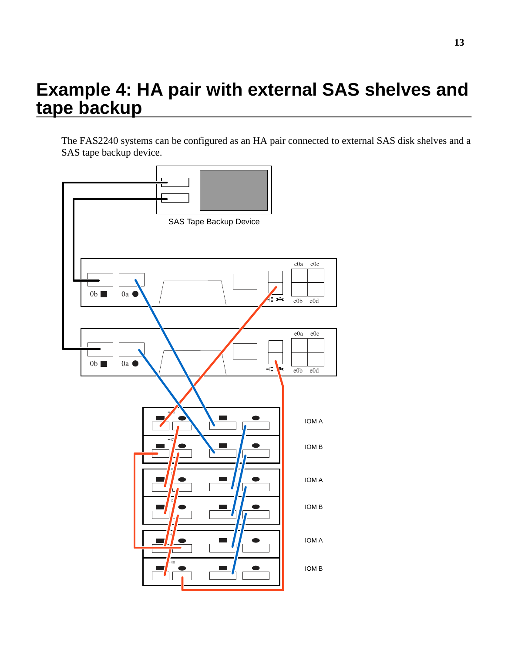### <span id="page-12-0"></span>**Example 4: HA pair with external SAS shelves and tape backup**

The FAS2240 systems can be configured as an HA pair connected to external SAS disk shelves and a SAS tape backup device.

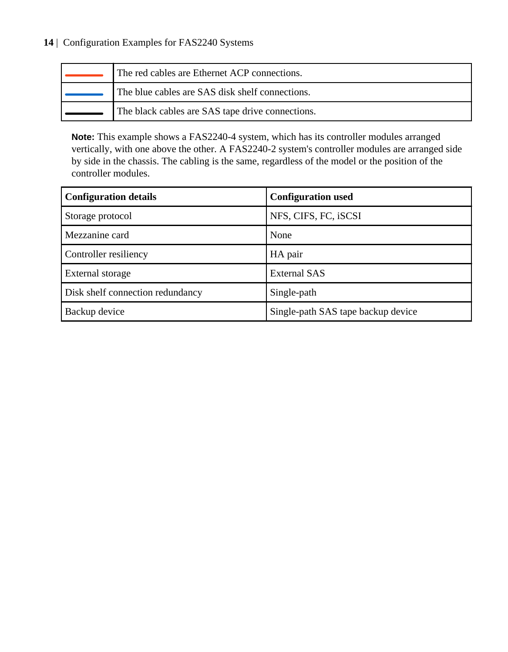| The red cables are Ethernet ACP connections.     |
|--------------------------------------------------|
| The blue cables are SAS disk shelf connections.  |
| The black cables are SAS tape drive connections. |

| <b>Configuration details</b>     | <b>Configuration used</b>          |
|----------------------------------|------------------------------------|
| Storage protocol                 | NFS, CIFS, FC, iSCSI               |
| Mezzanine card                   | None                               |
| Controller resiliency            | HA pair                            |
| External storage                 | <b>External SAS</b>                |
| Disk shelf connection redundancy | Single-path                        |
| Backup device                    | Single-path SAS tape backup device |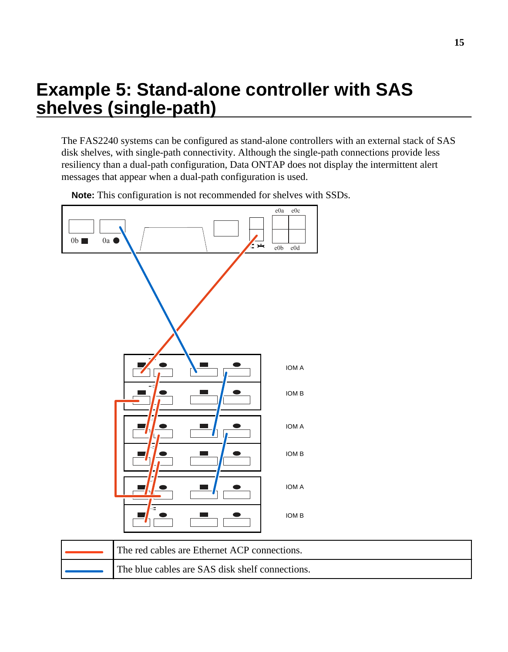### <span id="page-14-0"></span>**Example 5: Stand-alone controller with SAS shelves (single-path)**

The FAS2240 systems can be configured as stand-alone controllers with an external stack of SAS disk shelves, with single-path connectivity. Although the single-path connections provide less resiliency than a dual-path configuration, Data ONTAP does not display the intermittent alert messages that appear when a dual-path configuration is used.



**Note:** This configuration is not recommended for shelves with SSDs.

| The red cables are Ethernet ACP connections.    |
|-------------------------------------------------|
| The blue cables are SAS disk shelf connections. |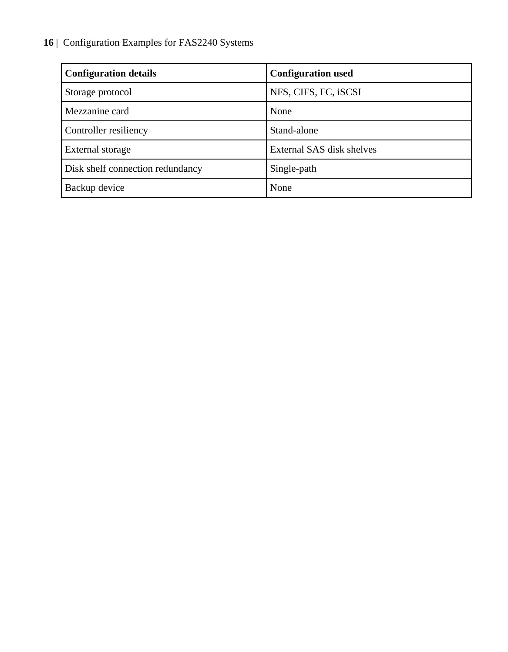| <b>Configuration details</b>     | <b>Configuration used</b> |
|----------------------------------|---------------------------|
| Storage protocol                 | NFS, CIFS, FC, iSCSI      |
| Mezzanine card                   | None                      |
| Controller resiliency            | Stand-alone               |
| External storage                 | External SAS disk shelves |
| Disk shelf connection redundancy | Single-path               |
| Backup device                    | None                      |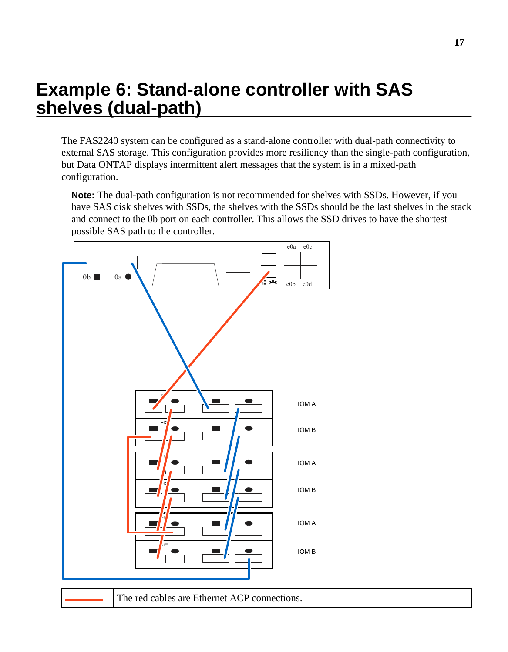### <span id="page-16-0"></span>**Example 6: Stand-alone controller with SAS shelves (dual-path)**

The FAS2240 system can be configured as a stand-alone controller with dual-path connectivity to external SAS storage. This configuration provides more resiliency than the single-path configuration, but Data ONTAP displays intermittent alert messages that the system is in a mixed-path configuration.

**Note:** The dual-path configuration is not recommended for shelves with SSDs. However, if you have SAS disk shelves with SSDs, the shelves with the SSDs should be the last shelves in the stack and connect to the 0b port on each controller. This allows the SSD drives to have the shortest possible SAS path to the controller.



The red cables are Ethernet ACP connections.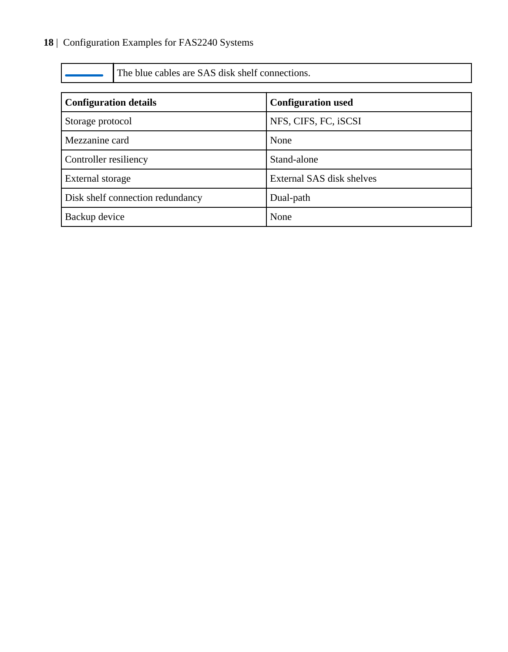The blue cables are SAS disk shelf connections.

| <b>Configuration details</b>     | <b>Configuration used</b> |
|----------------------------------|---------------------------|
| Storage protocol                 | NFS, CIFS, FC, iSCSI      |
| Mezzanine card                   | None                      |
| Controller resiliency            | Stand-alone               |
| External storage                 | External SAS disk shelves |
| Disk shelf connection redundancy | Dual-path                 |
| Backup device                    | None                      |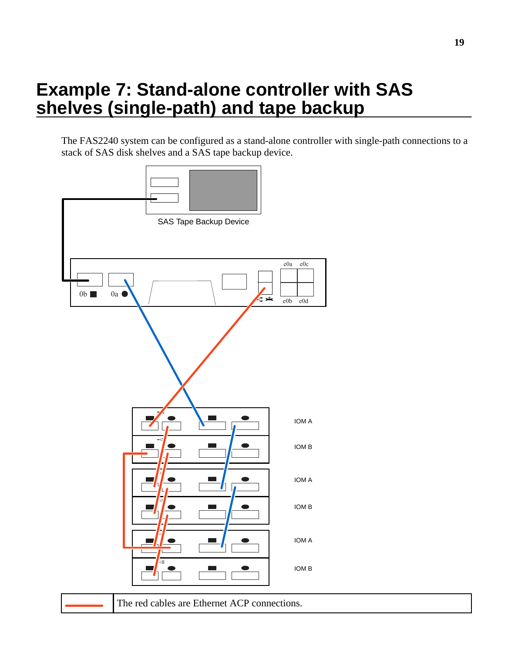### <span id="page-18-0"></span>**Example 7: Stand-alone controller with SAS shelves (single-path) and tape backup**

The FAS2240 system can be configured as a stand-alone controller with single-path connections to a stack of SAS disk shelves and a SAS tape backup device.

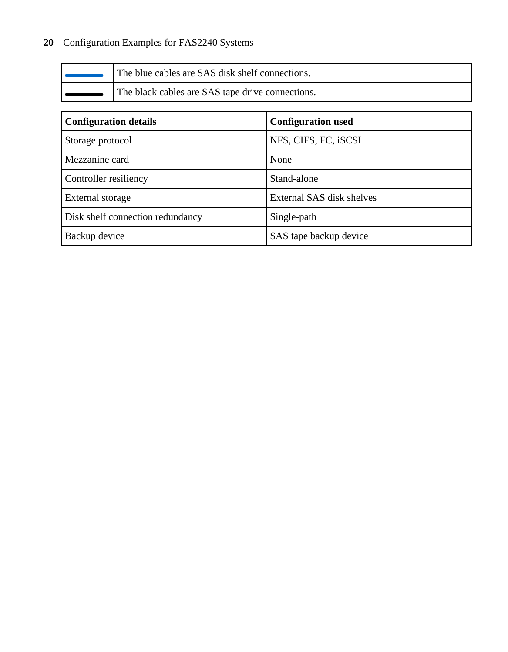| The blue cables are SAS disk shelf connections.  |
|--------------------------------------------------|
| The black cables are SAS tape drive connections. |

| <b>Configuration details</b>     | <b>Configuration used</b> |
|----------------------------------|---------------------------|
| Storage protocol                 | NFS, CIFS, FC, iSCSI      |
| Mezzanine card                   | None                      |
| Controller resiliency            | Stand-alone               |
| External storage                 | External SAS disk shelves |
| Disk shelf connection redundancy | Single-path               |
| Backup device                    | SAS tape backup device    |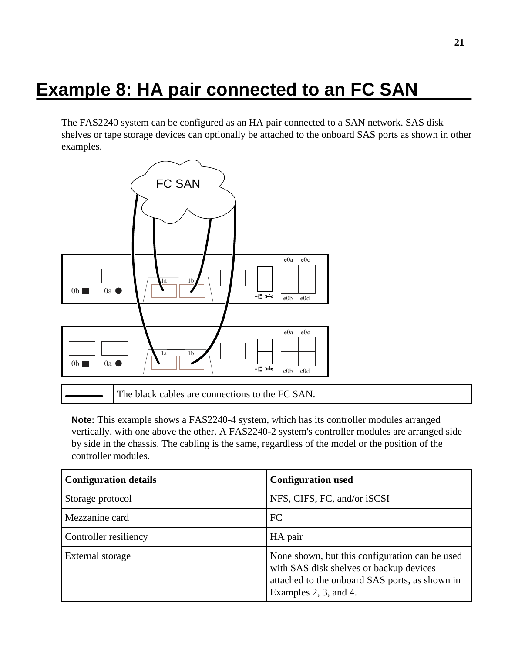### <span id="page-20-0"></span>**Example 8: HA pair connected to an FC SAN**

The FAS2240 system can be configured as an HA pair connected to a SAN network. SAS disk shelves or tape storage devices can optionally be attached to the onboard SAS ports as shown in other examples.



The black cables are connections to the FC SAN.

| <b>Configuration details</b> | <b>Configuration used</b>                                                                                                                                            |
|------------------------------|----------------------------------------------------------------------------------------------------------------------------------------------------------------------|
| Storage protocol             | NFS, CIFS, FC, and/or iSCSI                                                                                                                                          |
| Mezzanine card               | FC                                                                                                                                                                   |
| Controller resiliency        | HA pair                                                                                                                                                              |
| External storage             | None shown, but this configuration can be used<br>with SAS disk shelves or backup devices<br>attached to the onboard SAS ports, as shown in<br>Examples 2, 3, and 4. |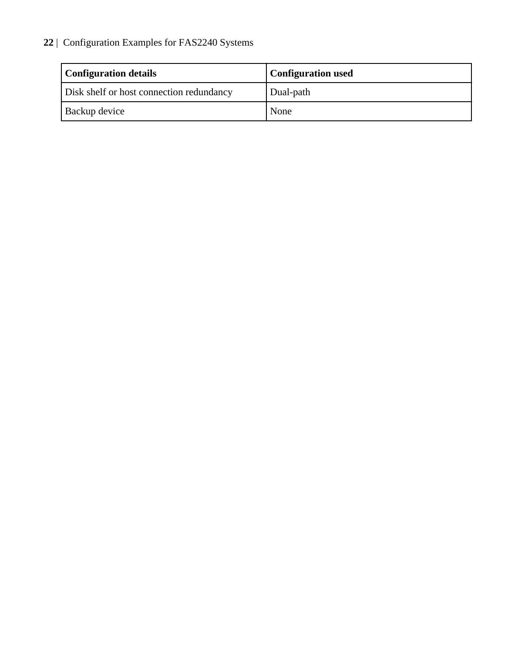| <b>Configuration details</b>             | <b>Configuration used</b> |
|------------------------------------------|---------------------------|
| Disk shelf or host connection redundancy | Dual-path                 |
| Backup device                            | None                      |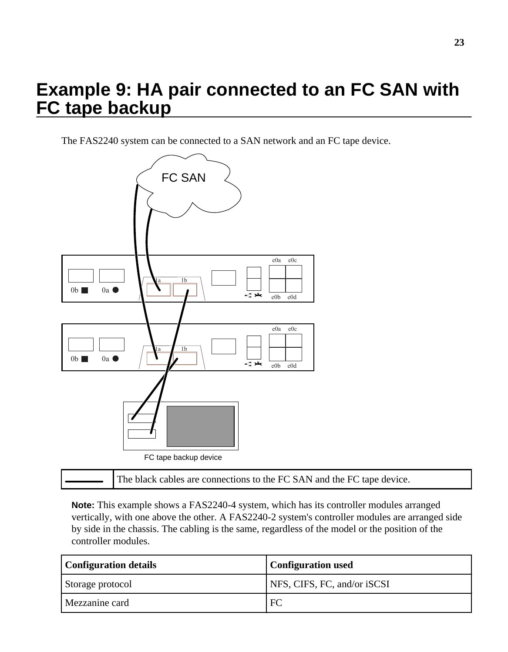### <span id="page-22-0"></span>**Example 9: HA pair connected to an FC SAN with FC tape backup**

The FAS2240 system can be connected to a SAN network and an FC tape device.



|  | The black cables are connections to the FC SAN and the FC tape device. |  |
|--|------------------------------------------------------------------------|--|
|--|------------------------------------------------------------------------|--|

| <b>Configuration details</b> | <b>Configuration used</b>   |
|------------------------------|-----------------------------|
| Storage protocol             | NFS, CIFS, FC, and/or iSCSI |
| Mezzanine card               | FC                          |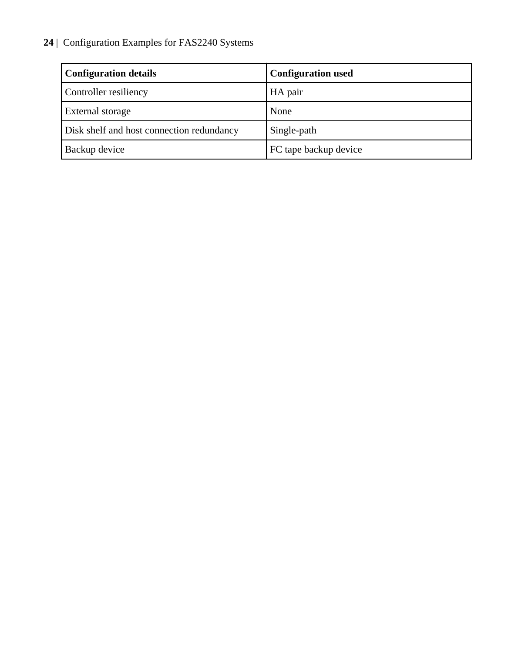| <b>Configuration details</b>              | <b>Configuration used</b> |
|-------------------------------------------|---------------------------|
| Controller resiliency                     | HA pair                   |
| <b>External storage</b>                   | None                      |
| Disk shelf and host connection redundancy | Single-path               |
| Backup device                             | FC tape backup device     |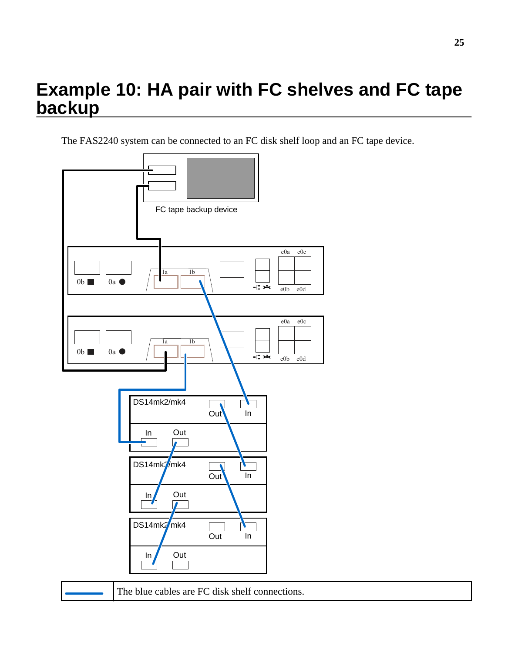### <span id="page-24-0"></span>**Example 10: HA pair with FC shelves and FC tape backup**

The FAS2240 system can be connected to an FC disk shelf loop and an FC tape device.



**25**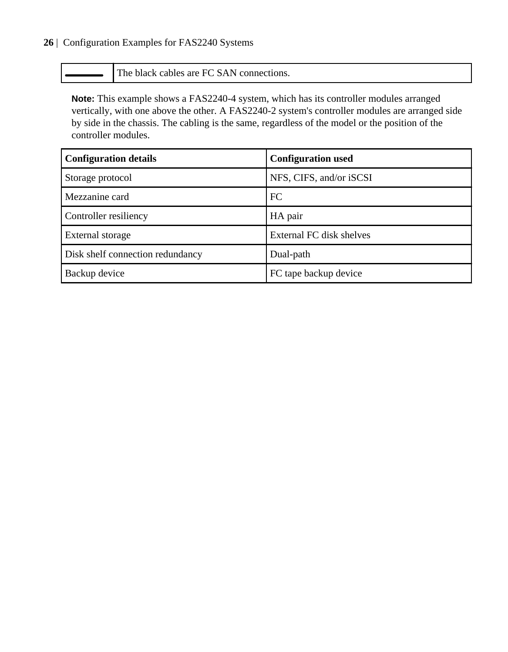The black cables are FC SAN connections.

| <b>Configuration details</b>     | <b>Configuration used</b> |
|----------------------------------|---------------------------|
| Storage protocol                 | NFS, CIFS, and/or iSCSI   |
| Mezzanine card                   | FC.                       |
| Controller resiliency            | HA pair                   |
| External storage                 | External FC disk shelves  |
| Disk shelf connection redundancy | Dual-path                 |
| Backup device                    | FC tape backup device     |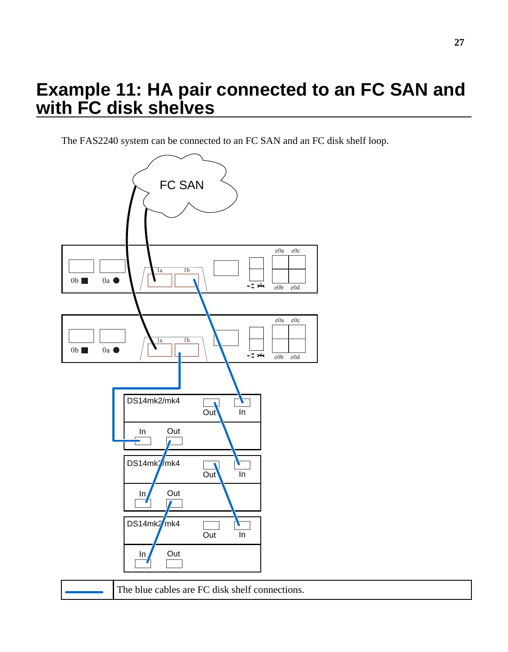### <span id="page-26-0"></span>**Example 11: HA pair connected to an FC SAN and with FC disk shelves**

The FAS2240 system can be connected to an FC SAN and an FC disk shelf loop.

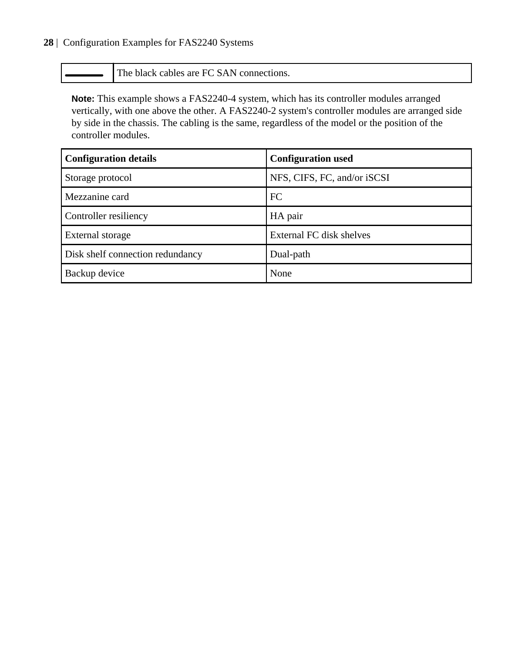The black cables are FC SAN connections.

| <b>Configuration details</b>     | <b>Configuration used</b>   |
|----------------------------------|-----------------------------|
| Storage protocol                 | NFS, CIFS, FC, and/or iSCSI |
| Mezzanine card                   | FC.                         |
| Controller resiliency            | HA pair                     |
| External storage                 | External FC disk shelves    |
| Disk shelf connection redundancy | Dual-path                   |
| Backup device                    | None                        |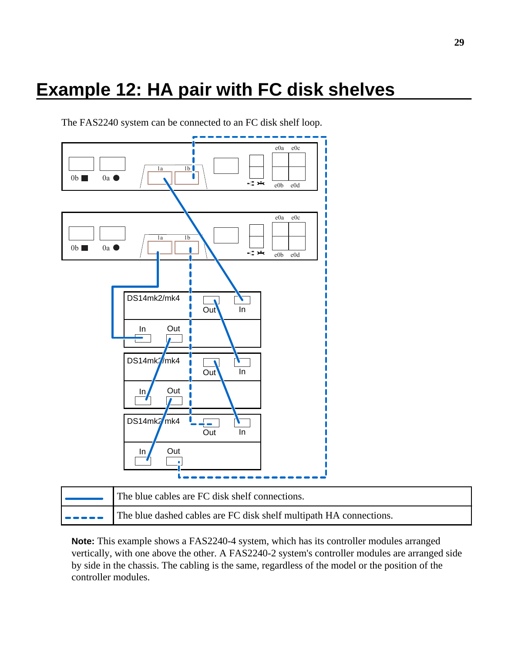### <span id="page-28-0"></span>**Example 12: HA pair with FC disk shelves**

The FAS2240 system can be connected to an FC disk shelf loop.



| The blue cables are FC disk shelf connections.                                                                              |
|-----------------------------------------------------------------------------------------------------------------------------|
| $\left  \bullet \bullet \bullet \bullet \bullet \right $ The blue dashed cables are FC disk shelf multipath HA connections. |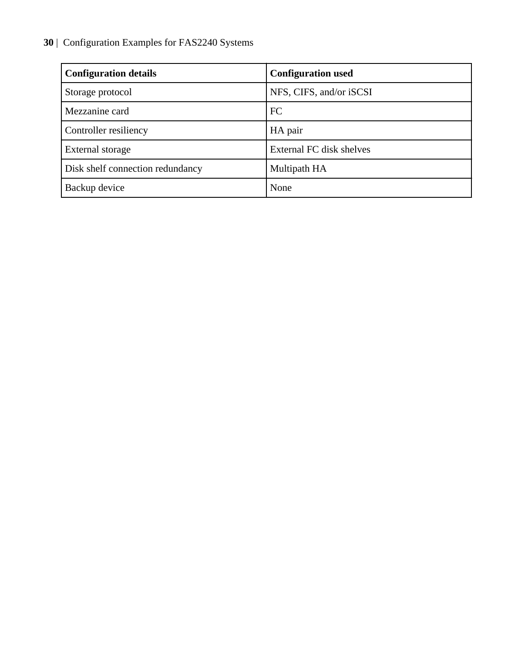| <b>Configuration details</b>     | <b>Configuration used</b> |
|----------------------------------|---------------------------|
| Storage protocol                 | NFS, CIFS, and/or iSCSI   |
| Mezzanine card                   | FC                        |
| Controller resiliency            | HA pair                   |
| External storage                 | External FC disk shelves  |
| Disk shelf connection redundancy | Multipath HA              |
| Backup device                    | None                      |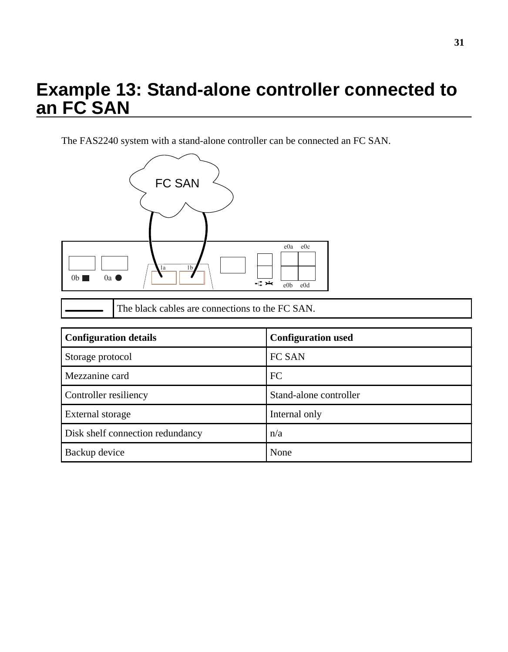### <span id="page-30-0"></span>**Example 13: Stand-alone controller connected to an FC SAN**

The FAS2240 system with a stand-alone controller can be connected an FC SAN.



| The black cables are connections to the FC SAN. |  |
|-------------------------------------------------|--|
|                                                 |  |

| <b>Configuration details</b>     | <b>Configuration used</b> |
|----------------------------------|---------------------------|
| Storage protocol                 | FC SAN                    |
| Mezzanine card                   | FC                        |
| Controller resiliency            | Stand-alone controller    |
| External storage                 | Internal only             |
| Disk shelf connection redundancy | n/a                       |
| Backup device                    | None                      |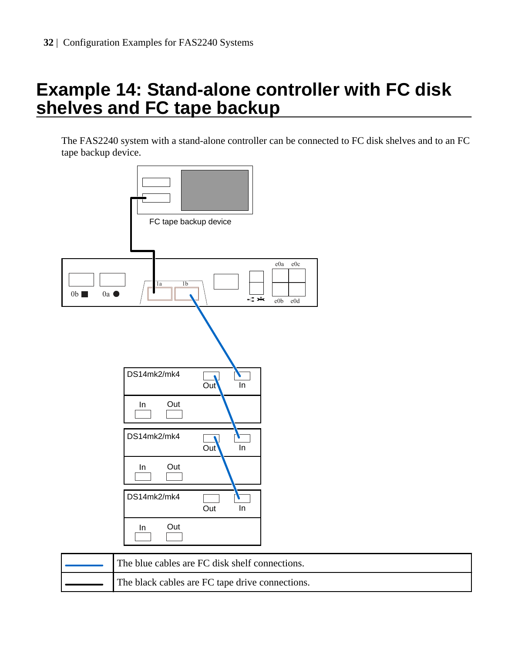### <span id="page-31-0"></span>**Example 14: Stand-alone controller with FC disk shelves and FC tape backup**

The FAS2240 system with a stand-alone controller can be connected to FC disk shelves and to an FC tape backup device.



| The blue cables are FC disk shelf connections.  |
|-------------------------------------------------|
| The black cables are FC tape drive connections. |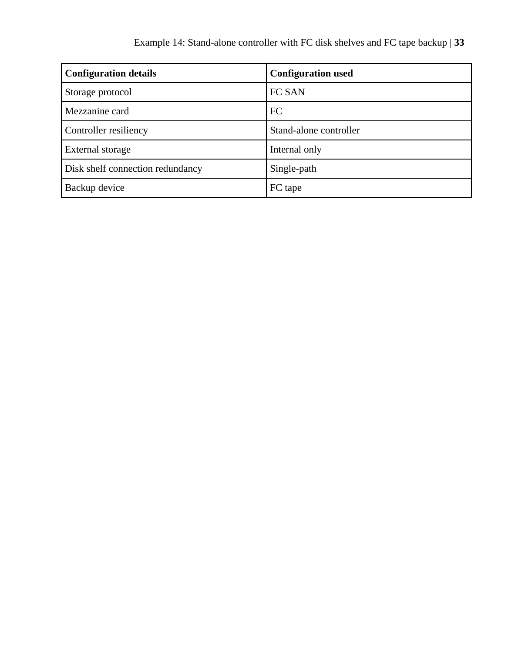| <b>Configuration details</b>     | <b>Configuration used</b> |
|----------------------------------|---------------------------|
| Storage protocol                 | FC SAN                    |
| Mezzanine card                   | FC                        |
| Controller resiliency            | Stand-alone controller    |
| External storage                 | Internal only             |
| Disk shelf connection redundancy | Single-path               |
| Backup device                    | FC tape                   |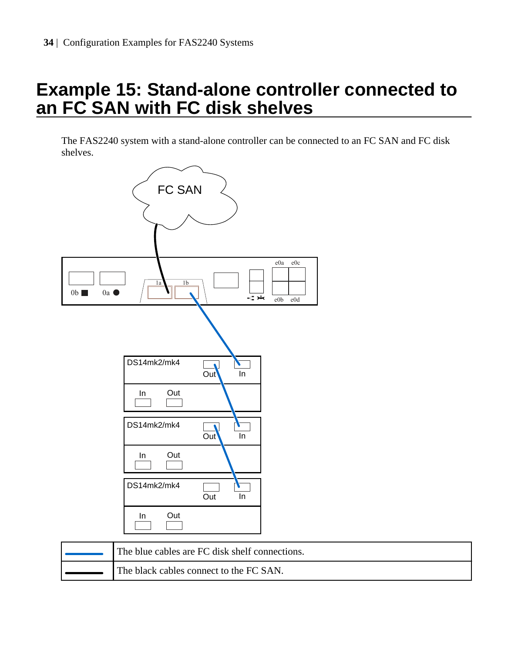### <span id="page-33-0"></span>**Example 15: Stand-alone controller connected to an FC SAN with FC disk shelves**

The FAS2240 system with a stand-alone controller can be connected to an FC SAN and FC disk shelves.



| The blue cables are FC disk shelf connections. |
|------------------------------------------------|
| The black cables connect to the FC SAN.        |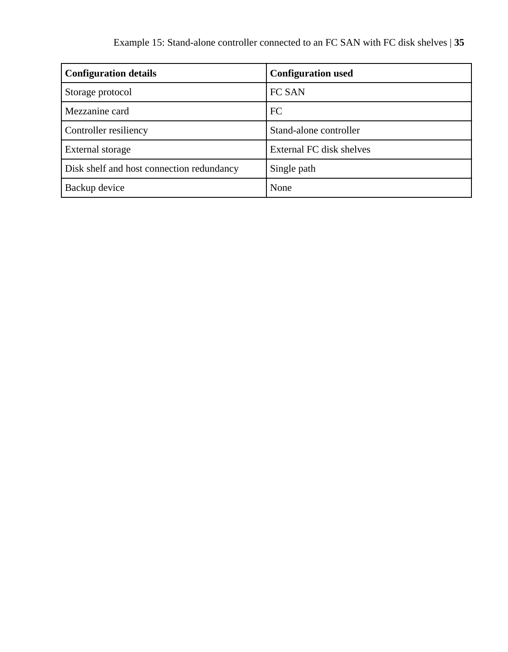| <b>Configuration details</b>              | <b>Configuration used</b> |
|-------------------------------------------|---------------------------|
| Storage protocol                          | FC SAN                    |
| Mezzanine card                            | FC                        |
| Controller resiliency                     | Stand-alone controller    |
| External storage                          | External FC disk shelves  |
| Disk shelf and host connection redundancy | Single path               |
| Backup device                             | None                      |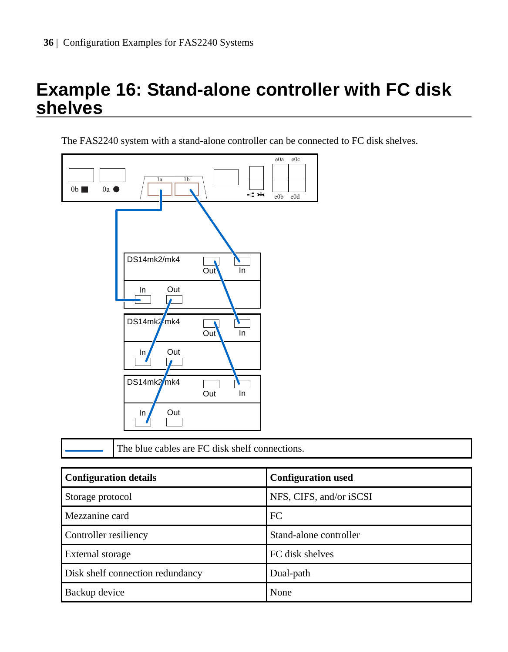### <span id="page-35-0"></span>**Example 16: Stand-alone controller with FC disk shelves**

The FAS2240 system with a stand-alone controller can be connected to FC disk shelves.



The blue cables are FC disk shelf connections.

| <b>Configuration details</b>     | <b>Configuration used</b> |
|----------------------------------|---------------------------|
| Storage protocol                 | NFS, CIFS, and/or iSCSI   |
| Mezzanine card                   | FC                        |
| Controller resiliency            | Stand-alone controller    |
| External storage                 | FC disk shelves           |
| Disk shelf connection redundancy | Dual-path                 |
| Backup device                    | None                      |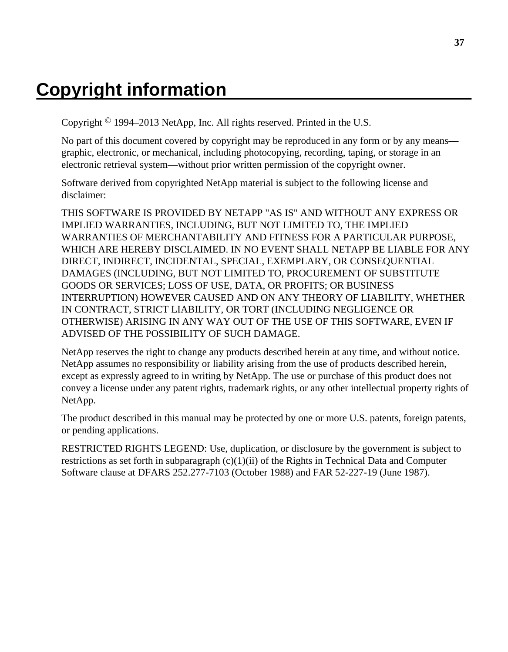### <span id="page-36-0"></span>**Copyright information**

Copyright © 1994–2013 NetApp, Inc. All rights reserved. Printed in the U.S.

No part of this document covered by copyright may be reproduced in any form or by any means graphic, electronic, or mechanical, including photocopying, recording, taping, or storage in an electronic retrieval system—without prior written permission of the copyright owner.

Software derived from copyrighted NetApp material is subject to the following license and disclaimer:

THIS SOFTWARE IS PROVIDED BY NETAPP "AS IS" AND WITHOUT ANY EXPRESS OR IMPLIED WARRANTIES, INCLUDING, BUT NOT LIMITED TO, THE IMPLIED WARRANTIES OF MERCHANTABILITY AND FITNESS FOR A PARTICULAR PURPOSE, WHICH ARE HEREBY DISCLAIMED. IN NO EVENT SHALL NETAPP BE LIABLE FOR ANY DIRECT, INDIRECT, INCIDENTAL, SPECIAL, EXEMPLARY, OR CONSEQUENTIAL DAMAGES (INCLUDING, BUT NOT LIMITED TO, PROCUREMENT OF SUBSTITUTE GOODS OR SERVICES; LOSS OF USE, DATA, OR PROFITS; OR BUSINESS INTERRUPTION) HOWEVER CAUSED AND ON ANY THEORY OF LIABILITY, WHETHER IN CONTRACT, STRICT LIABILITY, OR TORT (INCLUDING NEGLIGENCE OR OTHERWISE) ARISING IN ANY WAY OUT OF THE USE OF THIS SOFTWARE, EVEN IF ADVISED OF THE POSSIBILITY OF SUCH DAMAGE.

NetApp reserves the right to change any products described herein at any time, and without notice. NetApp assumes no responsibility or liability arising from the use of products described herein, except as expressly agreed to in writing by NetApp. The use or purchase of this product does not convey a license under any patent rights, trademark rights, or any other intellectual property rights of NetApp.

The product described in this manual may be protected by one or more U.S. patents, foreign patents, or pending applications.

RESTRICTED RIGHTS LEGEND: Use, duplication, or disclosure by the government is subject to restrictions as set forth in subparagraph  $(c)(1)(ii)$  of the Rights in Technical Data and Computer Software clause at DFARS 252.277-7103 (October 1988) and FAR 52-227-19 (June 1987).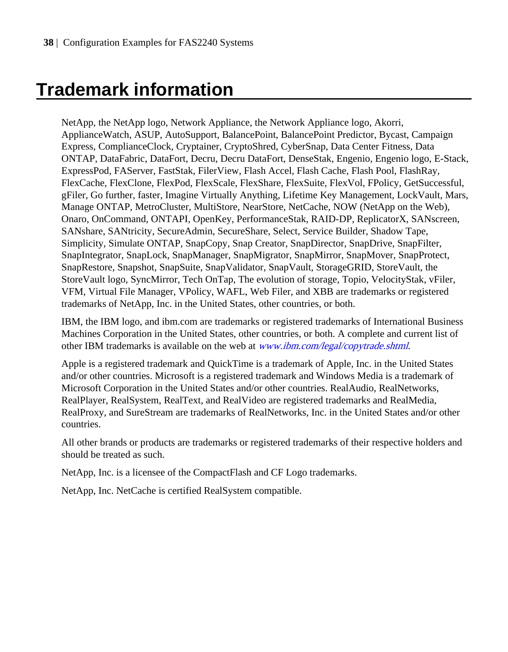### <span id="page-37-0"></span>**Trademark information**

NetApp, the NetApp logo, Network Appliance, the Network Appliance logo, Akorri, ApplianceWatch, ASUP, AutoSupport, BalancePoint, BalancePoint Predictor, Bycast, Campaign Express, ComplianceClock, Cryptainer, CryptoShred, CyberSnap, Data Center Fitness, Data ONTAP, DataFabric, DataFort, Decru, Decru DataFort, DenseStak, Engenio, Engenio logo, E-Stack, ExpressPod, FAServer, FastStak, FilerView, Flash Accel, Flash Cache, Flash Pool, FlashRay, FlexCache, FlexClone, FlexPod, FlexScale, FlexShare, FlexSuite, FlexVol, FPolicy, GetSuccessful, gFiler, Go further, faster, Imagine Virtually Anything, Lifetime Key Management, LockVault, Mars, Manage ONTAP, MetroCluster, MultiStore, NearStore, NetCache, NOW (NetApp on the Web), Onaro, OnCommand, ONTAPI, OpenKey, PerformanceStak, RAID-DP, ReplicatorX, SANscreen, SANshare, SANtricity, SecureAdmin, SecureShare, Select, Service Builder, Shadow Tape, Simplicity, Simulate ONTAP, SnapCopy, Snap Creator, SnapDirector, SnapDrive, SnapFilter, SnapIntegrator, SnapLock, SnapManager, SnapMigrator, SnapMirror, SnapMover, SnapProtect, SnapRestore, Snapshot, SnapSuite, SnapValidator, SnapVault, StorageGRID, StoreVault, the StoreVault logo, SyncMirror, Tech OnTap, The evolution of storage, Topio, VelocityStak, vFiler, VFM, Virtual File Manager, VPolicy, WAFL, Web Filer, and XBB are trademarks or registered trademarks of NetApp, Inc. in the United States, other countries, or both.

IBM, the IBM logo, and ibm.com are trademarks or registered trademarks of International Business Machines Corporation in the United States, other countries, or both. A complete and current list of other IBM trademarks is available on the web at *[www.ibm.com/legal/copytrade.shtml](http://www.ibm.com/legal/copytrade.shtml).* 

Apple is a registered trademark and QuickTime is a trademark of Apple, Inc. in the United States and/or other countries. Microsoft is a registered trademark and Windows Media is a trademark of Microsoft Corporation in the United States and/or other countries. RealAudio, RealNetworks, RealPlayer, RealSystem, RealText, and RealVideo are registered trademarks and RealMedia, RealProxy, and SureStream are trademarks of RealNetworks, Inc. in the United States and/or other countries.

All other brands or products are trademarks or registered trademarks of their respective holders and should be treated as such.

NetApp, Inc. is a licensee of the CompactFlash and CF Logo trademarks.

NetApp, Inc. NetCache is certified RealSystem compatible.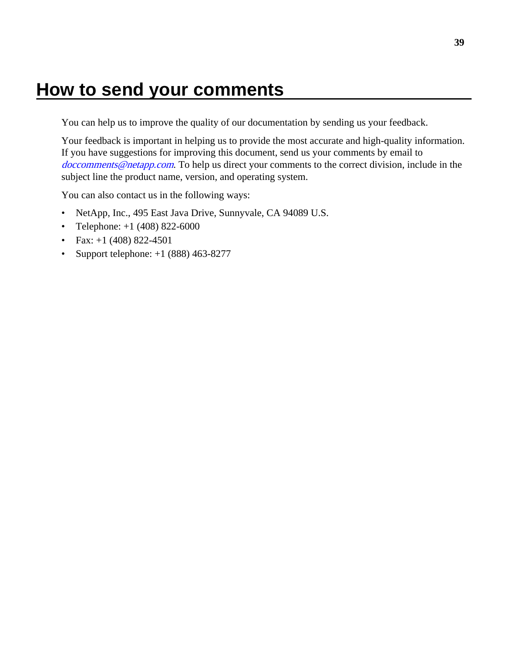### <span id="page-38-0"></span>**How to send your comments**

You can help us to improve the quality of our documentation by sending us your feedback.

Your feedback is important in helping us to provide the most accurate and high-quality information. If you have suggestions for improving this document, send us your comments by email to [doccomments@netapp.com](mailto:doccomments@netapp.com). To help us direct your comments to the correct division, include in the subject line the product name, version, and operating system.

You can also contact us in the following ways:

- NetApp, Inc., 495 East Java Drive, Sunnyvale, CA 94089 U.S.
- Telephone:  $+1$  (408) 822-6000
- Fax:  $+1$  (408) 822-4501
- Support telephone:  $+1$  (888) 463-8277